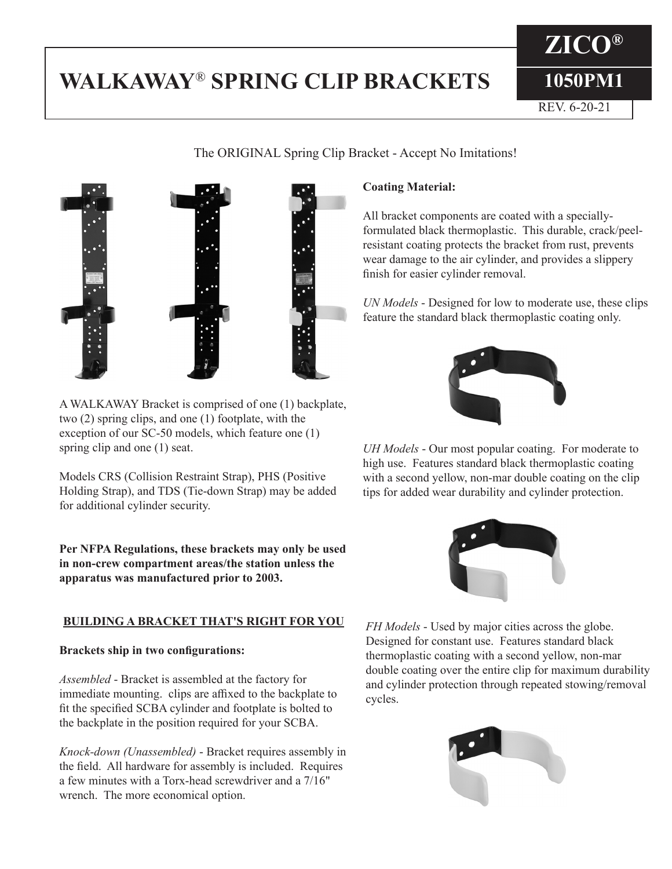# **WALKAWAY**® **SPRING CLIP BRACKETS**



A WALKAWAY Bracket is comprised of one (1) backplate, two (2) spring clips, and one (1) footplate, with the exception of our SC-50 models, which feature one (1) spring clip and one (1) seat.

Models CRS (Collision Restraint Strap), PHS (Positive Holding Strap), and TDS (Tie-down Strap) may be added for additional cylinder security.

**Per NFPA Regulations, these brackets may only be used in non-crew compartment areas/the station unless the apparatus was manufactured prior to 2003.**

## **BUILDING A BRACKET THAT'S RIGHT FOR YOU**

### **Brackets ship in two configurations:**

*Assembled* - Bracket is assembled at the factory for immediate mounting. clips are affixed to the backplate to fit the specified SCBA cylinder and footplate is bolted to the backplate in the position required for your SCBA.

*Knock-down (Unassembled)* - Bracket requires assembly in the field. All hardware for assembly is included. Requires a few minutes with a Torx-head screwdriver and a 7/16" wrench. The more economical option.

## **Coating Material:**

All bracket components are coated with a speciallyformulated black thermoplastic. This durable, crack/peelresistant coating protects the bracket from rust, prevents wear damage to the air cylinder, and provides a slippery finish for easier cylinder removal.

*UN Models* - Designed for low to moderate use, these clips feature the standard black thermoplastic coating only.



*UH Models* - Our most popular coating. For moderate to high use. Features standard black thermoplastic coating with a second yellow, non-mar double coating on the clip tips for added wear durability and cylinder protection.



*FH Models* - Used by major cities across the globe. Designed for constant use. Features standard black thermoplastic coating with a second yellow, non-mar double coating over the entire clip for maximum durability and cylinder protection through repeated stowing/removal cycles.



The ORIGINAL Spring Clip Bracket - Accept No Imitations!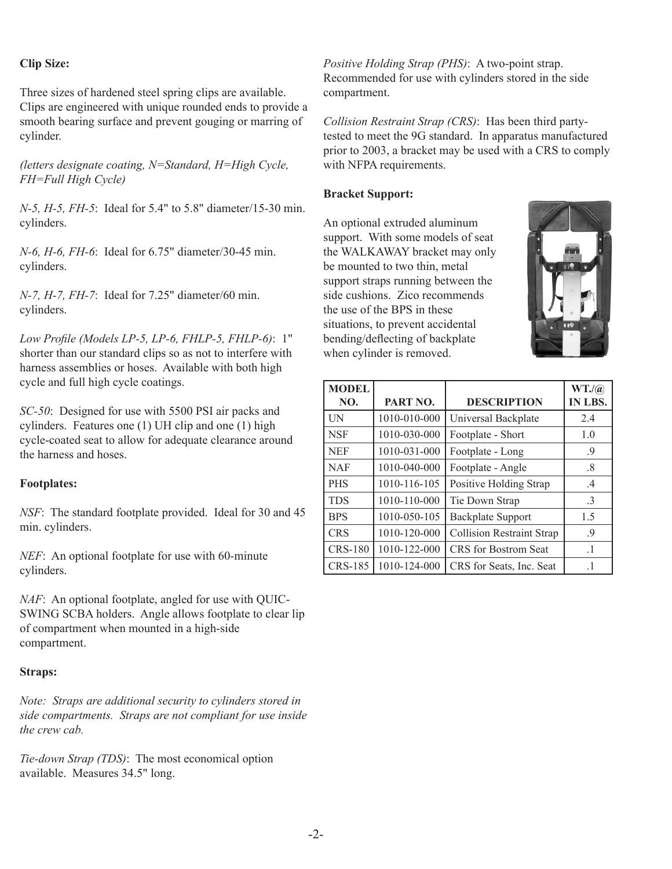#### **Clip Size:**

Three sizes of hardened steel spring clips are available. Clips are engineered with unique rounded ends to provide a smooth bearing surface and prevent gouging or marring of cylinder.

*(letters designate coating, N=Standard, H=High Cycle, FH=Full High Cycle)*

*N-5, H-5, FH-5*: Ideal for 5.4" to 5.8" diameter/15-30 min. cylinders.

*N-6, H-6, FH-6*: Ideal for 6.75" diameter/30-45 min. cylinders.

*N-7, H-7, FH-7*: Ideal for 7.25" diameter/60 min. cylinders.

*Low Profile (Models LP-5, LP-6, FHLP-5, FHLP-6)*: 1" shorter than our standard clips so as not to interfere with harness assemblies or hoses. Available with both high cycle and full high cycle coatings.

*SC-50*: Designed for use with 5500 PSI air packs and cylinders. Features one (1) UH clip and one (1) high cycle-coated seat to allow for adequate clearance around the harness and hoses.

#### **Footplates:**

*NSF*: The standard footplate provided. Ideal for 30 and 45 min. cylinders.

*NEF*: An optional footplate for use with 60-minute cylinders.

*NAF*: An optional footplate, angled for use with QUIC-SWING SCBA holders. Angle allows footplate to clear lip of compartment when mounted in a high-side compartment.

#### **Straps:**

*Note: Straps are additional security to cylinders stored in side compartments. Straps are not compliant for use inside the crew cab.*

*Tie-down Strap (TDS)*: The most economical option available. Measures 34.5" long.

*Positive Holding Strap (PHS)*: A two-point strap. Recommended for use with cylinders stored in the side compartment.

*Collision Restraint Strap (CRS)*: Has been third partytested to meet the 9G standard. In apparatus manufactured prior to 2003, a bracket may be used with a CRS to comply with NFPA requirements.

#### **Bracket Support:**

An optional extruded aluminum support. With some models of seat the WALKAWAY bracket may only be mounted to two thin, metal support straps running between the side cushions. Zico recommends the use of the BPS in these situations, to prevent accidental bending/deflecting of backplate when cylinder is removed.



| <b>MODEL</b><br>NO. | PART NO.     | <b>DESCRIPTION</b>               | WT.(a)<br>IN LBS. |
|---------------------|--------------|----------------------------------|-------------------|
| <b>IN</b>           | 1010-010-000 | Universal Backplate              | 2.4               |
| <b>NSF</b>          | 1010-030-000 | Footplate - Short                | 1.0               |
| <b>NEF</b>          | 1010-031-000 | Footplate - Long                 | .9                |
| <b>NAF</b>          | 1010-040-000 | Footplate - Angle                | .8                |
| <b>PHS</b>          | 1010-116-105 | Positive Holding Strap           | $\cdot$ 4         |
| <b>TDS</b>          | 1010-110-000 | Tie Down Strap                   | $\cdot$ 3         |
| <b>BPS</b>          | 1010-050-105 | <b>Backplate Support</b>         | 1.5               |
| <b>CRS</b>          | 1010-120-000 | <b>Collision Restraint Strap</b> | .9                |
| <b>CRS-180</b>      | 1010-122-000 | <b>CRS</b> for Bostrom Seat      | $\cdot$ 1         |
| <b>CRS-185</b>      | 1010-124-000 | CRS for Seats, Inc. Seat         | $\cdot$ 1         |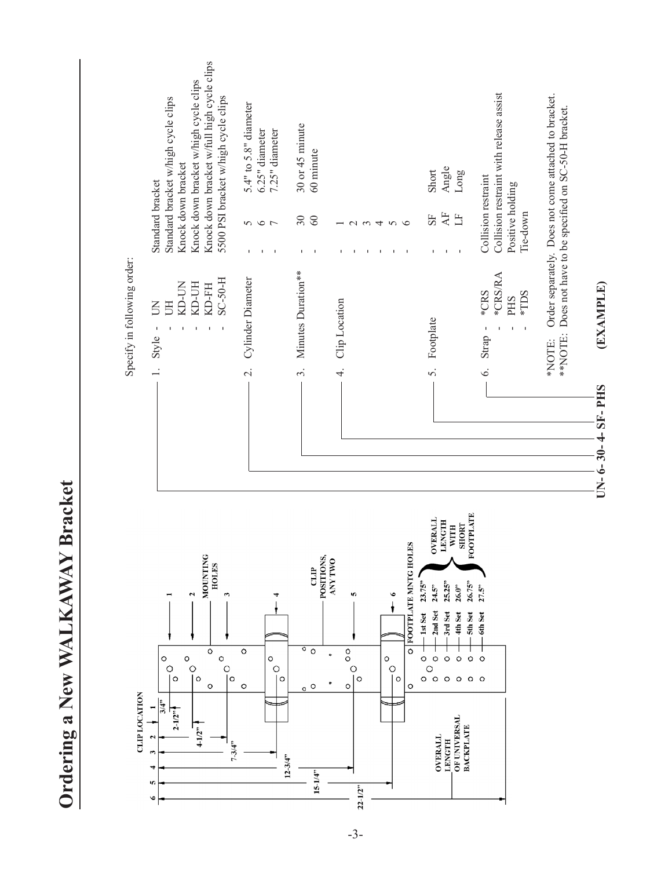|                             | Knock down bracket w/full high cycle clips<br>Knock down bracket w/high cycle clips<br>5500 PSI bracket w/high cycle clips<br>Standard bracket w/high cycle clips<br>Knock down bracket<br>Standard bracket                                                         | $5.4"$ to $5.8"$ diameter<br>7.25" diameter<br>6.25" diameter<br>5<br>6<br>6<br>7<br>J.<br>J.<br>J. | 30 or 45 minute<br>60 minute<br>$30\,$<br>60<br>L.                                      | $\sim$ $\sim$                                                                            | 4<br>$\sigma$                                                               | Angle<br>Short<br>Long<br>$\overline{A}$<br>SF<br>H<br>$\blacksquare$<br>٠<br>τ.                                                                                                                                                                                                                                                                                                     | Collision restraint with release assist<br>Collision restraint<br>Positive holding<br>Tie-down            | Order separately. Does not come attached to bracket.<br>Does not have to be specified on SC-50-H bracket. |                                 |
|-----------------------------|---------------------------------------------------------------------------------------------------------------------------------------------------------------------------------------------------------------------------------------------------------------------|-----------------------------------------------------------------------------------------------------|-----------------------------------------------------------------------------------------|------------------------------------------------------------------------------------------|-----------------------------------------------------------------------------|--------------------------------------------------------------------------------------------------------------------------------------------------------------------------------------------------------------------------------------------------------------------------------------------------------------------------------------------------------------------------------------|-----------------------------------------------------------------------------------------------------------|-----------------------------------------------------------------------------------------------------------|---------------------------------|
| Specify in following order: | <b>H-0S-2S</b><br>KD-UN<br>KD-UH<br>KD-FH<br>UH<br>Š<br>$\mathbf I$<br>$\mathbf I$<br>J.<br>I.<br>T,<br>Style<br>$\overline{a}$                                                                                                                                     | Cylinder Diameter<br>$\overline{\mathcal{C}}$                                                       | Minutes Duration**<br>$\dot{\tilde{z}}$                                                 | Clip Location<br>4.                                                                      |                                                                             | Footplate<br>$\dot{\delta}$                                                                                                                                                                                                                                                                                                                                                          | *CRS/RA<br>*CRS<br>*TDS<br>PHS<br>$\mathbf{I}$<br>$\mathbf I$<br>$\mathbf{I}$<br>Strap<br>$\acute{\circ}$ | **NOTE:<br>*NOTE:                                                                                         | (EXAMPLE)<br>$UN-6-30-4-SH-PHS$ |
| <b>CLIP LOCATION</b>        | <b>MOUNTING</b><br><b>HOLES</b><br>3<br>Z<br>$\circ$<br>$\circ$<br>$\circ$<br>o<br>$\frac{1}{10}$<br>$\circ$<br>$\circ$<br>$\circ$<br>$\circ$<br>$\frac{3}{4}$<br>$\blacksquare$<br>$2 - 1/2$ <sup>39</sup><br>$4-1/2^{11}$<br>2<br>$7 - 3/4$ "<br>3<br>4<br>Ю<br>ی | O<br>O<br>$\circ$<br>O<br>$\circ$<br>$12 - 3/4"$                                                    | POSITIONS,<br>$\overline{d}$<br>$\overline{\circ}$<br>$\circ$<br>$\circ$<br>$15 - 1/4"$ | <b>ANY TWO</b><br>S<br>$^{\circ}_{\circ}$<br>$\circ$<br>$\circ$<br>$\circ$<br>$22 - 1/2$ | FOOTPLATE MNTG HOLES<br>$\circ$<br>$\ddot{\circ}$<br>O<br>$\circ$<br>O<br>o | <b>FOOTPLATE</b><br><b>OVERALL</b><br>LENGTH<br><b>SHORT</b><br><b>WITH</b><br>23.75"<br>25.25"<br>26.75"<br>26.0"<br>24.5"<br>2nd Set<br>-1st Set<br>-3rd Set<br>5th Set<br>4th Set<br>$\circ$<br>$\circ$<br>$\circ$<br>$\circ$<br>$\circ$<br>$\circ$<br>$\circ$<br>$\circ$<br>$\circ$<br>$\circ$<br>$\circ$<br>OF UNIVERSAL<br><b>BACKPLATE</b><br><b>OVERALL</b><br><b>LENGTH</b> | 27.5"<br>-6th Set<br>$\circ$<br>$\circ$                                                                   |                                                                                                           |                                 |

Ordering a New WALKAWAY Bracket **Ordering a New WALKAWAY Bracket**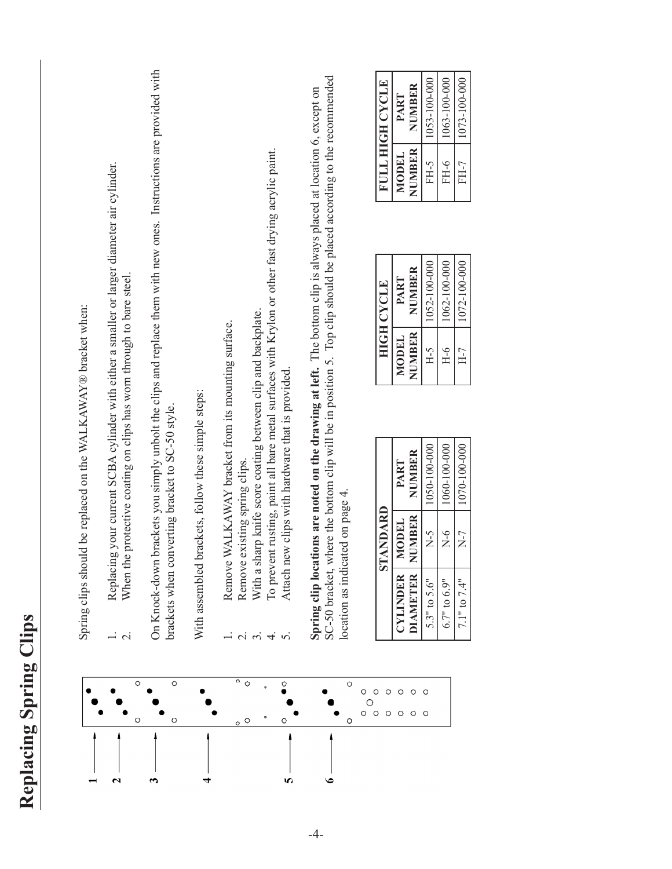| ں<br>2<br>$\frac{1}{\ell}$     |
|--------------------------------|
| C                              |
| prin<br>ζ                      |
| $\bullet$<br>O<br>₹            |
| E<br>$\tilde{\mathbf{c}}$<br>i |
| <b>G</b><br>$\mathbf{z}$       |
| ◥                              |



Spring clips should be replaced on the WALKAWAY® bracket when: Spring clips should be replaced on the WALKAWAY® bracket when:

- Replacing your current SCBA cylinder with either a smaller or larger diameter air cylinder. 1. Replacing your current SCBA cylinder with either a smaller or larger diameter air cylinder.  $\frac{1}{2}$   $\frac{1}{2}$ 
	- When the protective coating on clips has worn through to bare steel. 2. When the protective coating on clips has worn through to bare steel.

On Knock-down brackets you simply unbolt the clips and replace them with new ones. Instructions are provided with On Knock-down brackets you simply unbolt the clips and replace them with new ones. Instructions are provided with brackets when converting bracket to SC-50 style. brackets when converting bracket to SC-50 style.

With assembled brackets, follow these simple steps: With assembled brackets, follow these simple steps:

- Remove WALKAWAY bracket from its mounting surface. 1. Remove WALKAWAY bracket from its mounting surface.
- Remove existing spring clips. 2. Remove existing spring clips.  $\frac{1}{2}$   $\frac{1}{2}$
- With a sharp knife score coating between clip and backplate. 3. With a sharp knife score coating between clip and backplate.
- To prevent rusting, paint all bare metal surfaces with Krylon or other fast drying acrylic paint. 4. To prevent rusting, paint all bare metal surfaces with Krylon or other fast drying acrylic paint.
- Attach new clips with hardware that is provided. 5. Attach new clips with hardware that is provided.  $m \neq n$

SC-50 bracket, where the bottom clip will be in position 5. Top clip should be placed according to the recommended SC-50 bracket, where the bottom clip will be in position 5. Top clip should be placed according to the recommended **Spring clip locations are noted on the drawing at left.** The bottom clip is always placed at location 6, except on Spring clip locations are noted on the drawing at left. The bottom clip is always placed at location 6, except on location as indicated on page 4. location as indicated on page 4.

| CYLINDER         | STANDARD<br>MODEL | PART         |
|------------------|-------------------|--------------|
| DIAMETER         | NUMBER            | NUMBER       |
| $5.3"$ to $5.6"$ | $\overline{X}$ -5 | 1050-100-000 |
| $6.7"$ to $6.9"$ | $\overline{X}$ -6 | 1060-100-000 |
| $7.1"$ to $7.4"$ | $\overline{X}$ -7 | 1070-100-000 |

|                 | HIGH CYCLE   |
|-----------------|--------------|
| MODEL           | PART         |
| NUMBER          | NUMBER       |
| FH <sub>5</sub> | 1052-100-000 |
| Н-6             | 1062-100-000 |
| $H-7$           | 1072-100-000 |

|        | <b>FULL HIGH CYCLE</b> |
|--------|------------------------|
| MODEL  | PART                   |
| NUMBER | NUMBER                 |
| FH-5   | 1053-100-000           |
| FH-6   | 1063-100-000           |
| FH-7   | 1073-100-000           |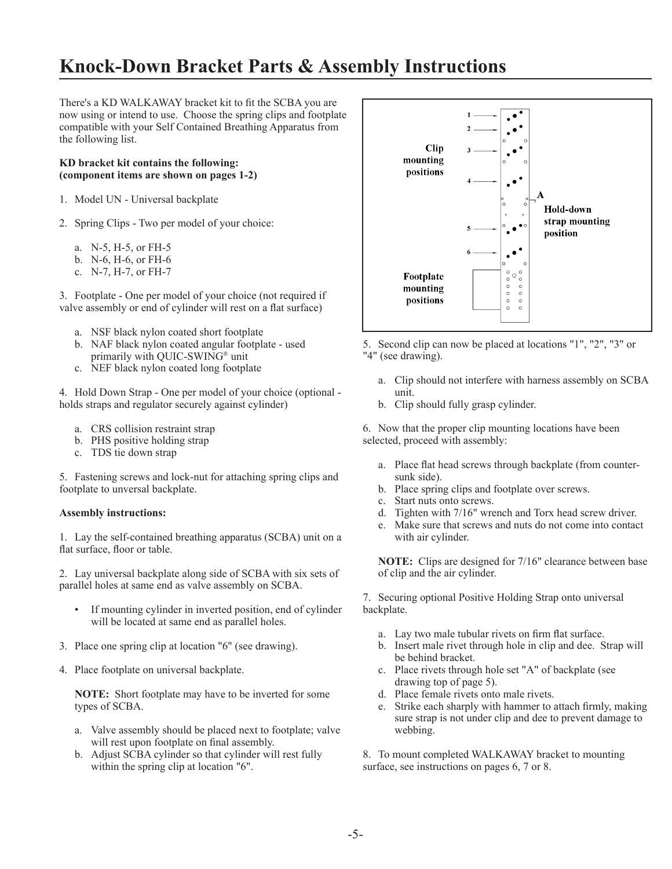## **Knock-Down Bracket Parts & Assembly Instructions**

There's a KD WALKAWAY bracket kit to fit the SCBA you are now using or intend to use. Choose the spring clips and footplate compatible with your Self Contained Breathing Apparatus from the following list.

#### **KD bracket kit contains the following: (component items are shown on pages 1-2)**

- 1. Model UN Universal backplate
- 2. Spring Clips Two per model of your choice:
	- a. N-5, H-5, or FH-5
	- b. N-6, H-6, or FH-6
	- c. N-7, H-7, or FH-7

3. Footplate - One per model of your choice (not required if valve assembly or end of cylinder will rest on a flat surface)

- a. NSF black nylon coated short footplate
- b. NAF black nylon coated angular footplate used primarily with QUIC-SWING® unit
- c. NEF black nylon coated long footplate

4. Hold Down Strap - One per model of your choice (optional holds straps and regulator securely against cylinder)

- a. CRS collision restraint strap
- b. PHS positive holding strap
- c. TDS tie down strap

5. Fastening screws and lock-nut for attaching spring clips and footplate to unversal backplate.

#### **Assembly instructions:**

1. Lay the self-contained breathing apparatus (SCBA) unit on a flat surface, floor or table.

2. Lay universal backplate along side of SCBA with six sets of parallel holes at same end as valve assembly on SCBA.

- If mounting cylinder in inverted position, end of cylinder will be located at same end as parallel holes.
- 3. Place one spring clip at location "6" (see drawing).
- 4. Place footplate on universal backplate.

**NOTE:** Short footplate may have to be inverted for some types of SCBA.

- a. Valve assembly should be placed next to footplate; valve will rest upon footplate on final assembly.
- b. Adjust SCBA cylinder so that cylinder will rest fully within the spring clip at location "6".





- a. Clip should not interfere with harness assembly on SCBA unit.
- b. Clip should fully grasp cylinder.

6. Now that the proper clip mounting locations have been selected, proceed with assembly:

- a. Place flat head screws through backplate (from counter sunk side).
- b. Place spring clips and footplate over screws.
- c. Start nuts onto screws.
- d. Tighten with 7/16" wrench and Torx head screw driver.
- e. Make sure that screws and nuts do not come into contact with air cylinder.

**NOTE:** Clips are designed for 7/16" clearance between base of clip and the air cylinder.

7. Securing optional Positive Holding Strap onto universal backplate.

- a. Lay two male tubular rivets on firm flat surface.
- b. Insert male rivet through hole in clip and dee. Strap will be behind bracket.
- c. Place rivets through hole set "A" of backplate (see drawing top of page 5).
- d. Place female rivets onto male rivets.
- e. Strike each sharply with hammer to attach firmly, making sure strap is not under clip and dee to prevent damage to webbing.

8. To mount completed WALKAWAY bracket to mounting surface, see instructions on pages 6, 7 or 8.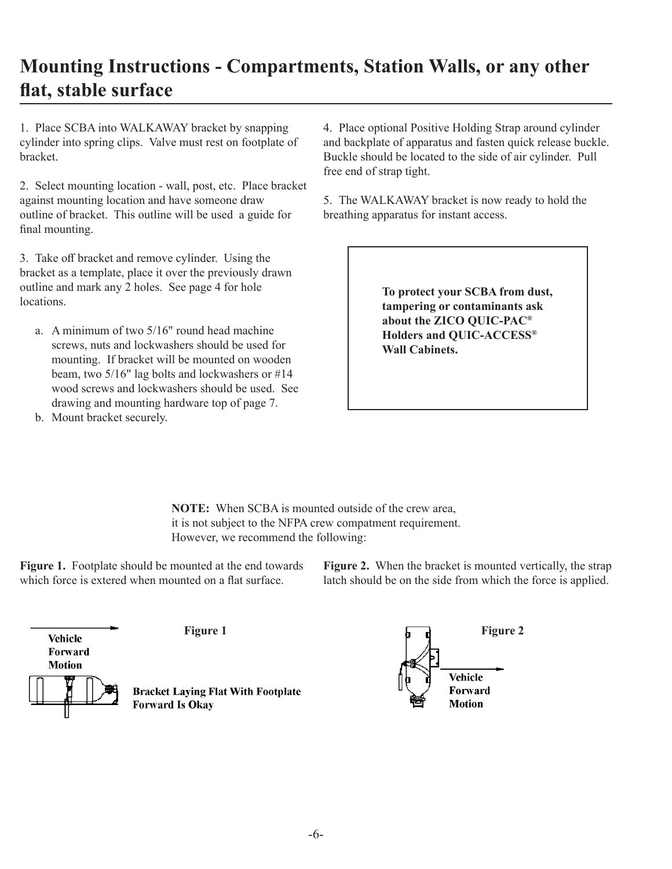## **Mounting Instructions - Compartments, Station Walls, or any other flat, stable surface**

1. Place SCBA into WALKAWAY bracket by snapping cylinder into spring clips. Valve must rest on footplate of bracket.

2. Select mounting location - wall, post, etc. Place bracket against mounting location and have someone draw outline of bracket. This outline will be used a guide for final mounting.

3. Take off bracket and remove cylinder. Using the bracket as a template, place it over the previously drawn outline and mark any 2 holes. See page 4 for hole locations.

a. A minimum of two 5/16" round head machine screws, nuts and lockwashers should be used for mounting. If bracket will be mounted on wooden beam, two 5/16" lag bolts and lockwashers or #14 wood screws and lockwashers should be used. See drawing and mounting hardware top of page 7.

4. Place optional Positive Holding Strap around cylinder and backplate of apparatus and fasten quick release buckle. Buckle should be located to the side of air cylinder. Pull free end of strap tight.

5. The WALKAWAY bracket is now ready to hold the breathing apparatus for instant access.

> **To protect your SCBA from dust, tampering or contaminants ask about the ZICO QUIC-PAC® Holders and QUIC-ACCESS® Wall Cabinets.**

b. Mount bracket securely.

**NOTE:** When SCBA is mounted outside of the crew area, it is not subject to the NFPA crew compatment requirement. However, we recommend the following:

**Figure 1.** Footplate should be mounted at the end towards which force is extered when mounted on a flat surface.

**Figure 2.** When the bracket is mounted vertically, the strap latch should be on the side from which the force is applied.



**Bracket Laying Flat With Footplate Forward Is Okay** 

**Figure 1 Figure 2 Figure 2** Vehicle Forward **Motion**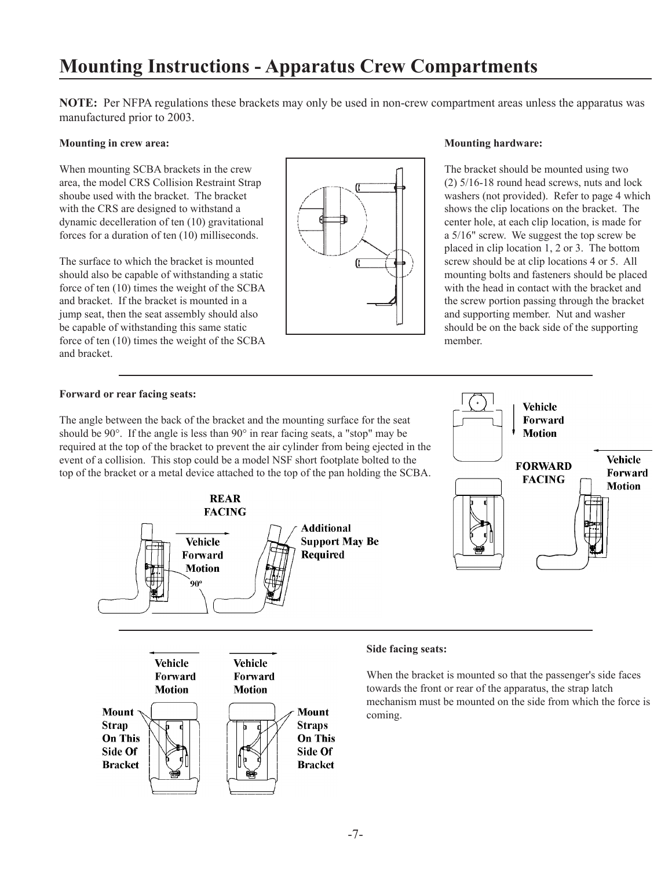## **Mounting Instructions - Apparatus Crew Compartments**

**NOTE:** Per NFPA regulations these brackets may only be used in non-crew compartment areas unless the apparatus was manufactured prior to 2003.

#### **Mounting in crew area:**

When mounting SCBA brackets in the crew area, the model CRS Collision Restraint Strap shoube used with the bracket. The bracket with the CRS are designed to withstand a dynamic decelleration of ten (10) gravitational forces for a duration of ten (10) milliseconds.

The surface to which the bracket is mounted should also be capable of withstanding a static force of ten (10) times the weight of the SCBA and bracket. If the bracket is mounted in a jump seat, then the seat assembly should also be capable of withstanding this same static force of ten (10) times the weight of the SCBA and bracket.



#### **Mounting hardware:**

The bracket should be mounted using two (2) 5/16-18 round head screws, nuts and lock washers (not provided). Refer to page 4 which shows the clip locations on the bracket. The center hole, at each clip location, is made for a 5/16" screw. We suggest the top screw be placed in clip location 1, 2 or 3. The bottom screw should be at clip locations 4 or 5. All mounting bolts and fasteners should be placed with the head in contact with the bracket and the screw portion passing through the bracket and supporting member. Nut and washer should be on the back side of the supporting member.

> Vehicle Forward **Motion**

**FORWARD** 

Vehicle

#### **Forward or rear facing seats:**

The angle between the back of the bracket and the mounting surface for the seat should be 90°. If the angle is less than 90° in rear facing seats, a "stop" may be required at the top of the bracket to prevent the air cylinder from being ejected in the event of a collision. This stop could be a model NSF short footplate bolted to the top of the bracket or a metal device attached to the top of the pan holding the SCBA.